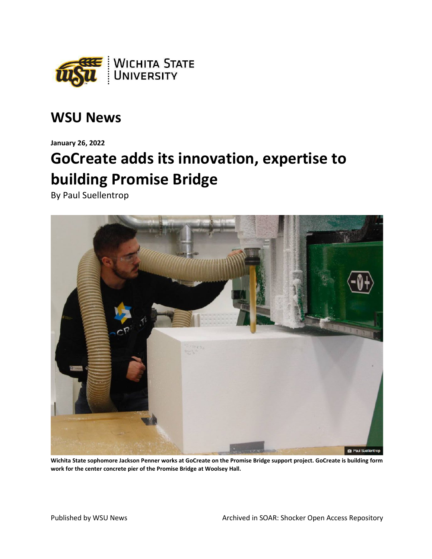

## **WSU News**

**January 26, 2022**

## **GoCreate adds its innovation, expertise to building Promise Bridge**

By Paul Suellentrop



**Wichita State sophomore Jackson Penner works at GoCreate on the Promise Bridge support project. GoCreate is building form work for the center concrete pier of the Promise Bridge at Woolsey Hall.**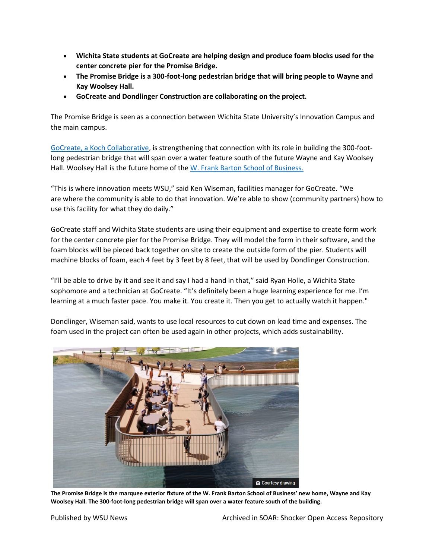- **Wichita State students at GoCreate are helping design and produce foam blocks used for the center concrete pier for the Promise Bridge.**
- **The Promise Bridge is a 300-foot-long pedestrian bridge that will bring people to Wayne and Kay Woolsey Hall.**
- **GoCreate and Dondlinger Construction are collaborating on the project.**

The Promise Bridge is seen as a connection between Wichita State University's Innovation Campus and the main campus.

[GoCreate, a Koch Collaborative,](https://gocreate.com/) is strengthening that connection with its role in building the 300-footlong pedestrian bridge that will span over a water feature south of the future Wayne and Kay Woolsey Hall. Woolsey Hall is the future home of the [W. Frank Barton School of Business.](https://www.wichita.edu/academics/business/index.php)

"This is where innovation meets WSU," said Ken Wiseman, facilities manager for GoCreate. "We are where the community is able to do that innovation. We're able to show (community partners) how to use this facility for what they do daily."

GoCreate staff and Wichita State students are using their equipment and expertise to create form work for the center concrete pier for the Promise Bridge. They will model the form in their software, and the foam blocks will be pieced back together on site to create the outside form of the pier. Students will machine blocks of foam, each 4 feet by 3 feet by 8 feet, that will be used by Dondlinger Construction.

"I'll be able to drive by it and see it and say I had a hand in that," said Ryan Holle, a Wichita State sophomore and a technician at GoCreate. "It's definitely been a huge learning experience for me. I'm learning at a much faster pace. You make it. You create it. Then you get to actually watch it happen."

Dondlinger, Wiseman said, wants to use local resources to cut down on lead time and expenses. The foam used in the project can often be used again in other projects, which adds sustainability.



**The Promise Bridge is the marquee exterior fixture of the W. Frank Barton School of Business' new home, Wayne and Kay Woolsey Hall. The 300-foot-long pedestrian bridge will span over a water feature south of the building.**